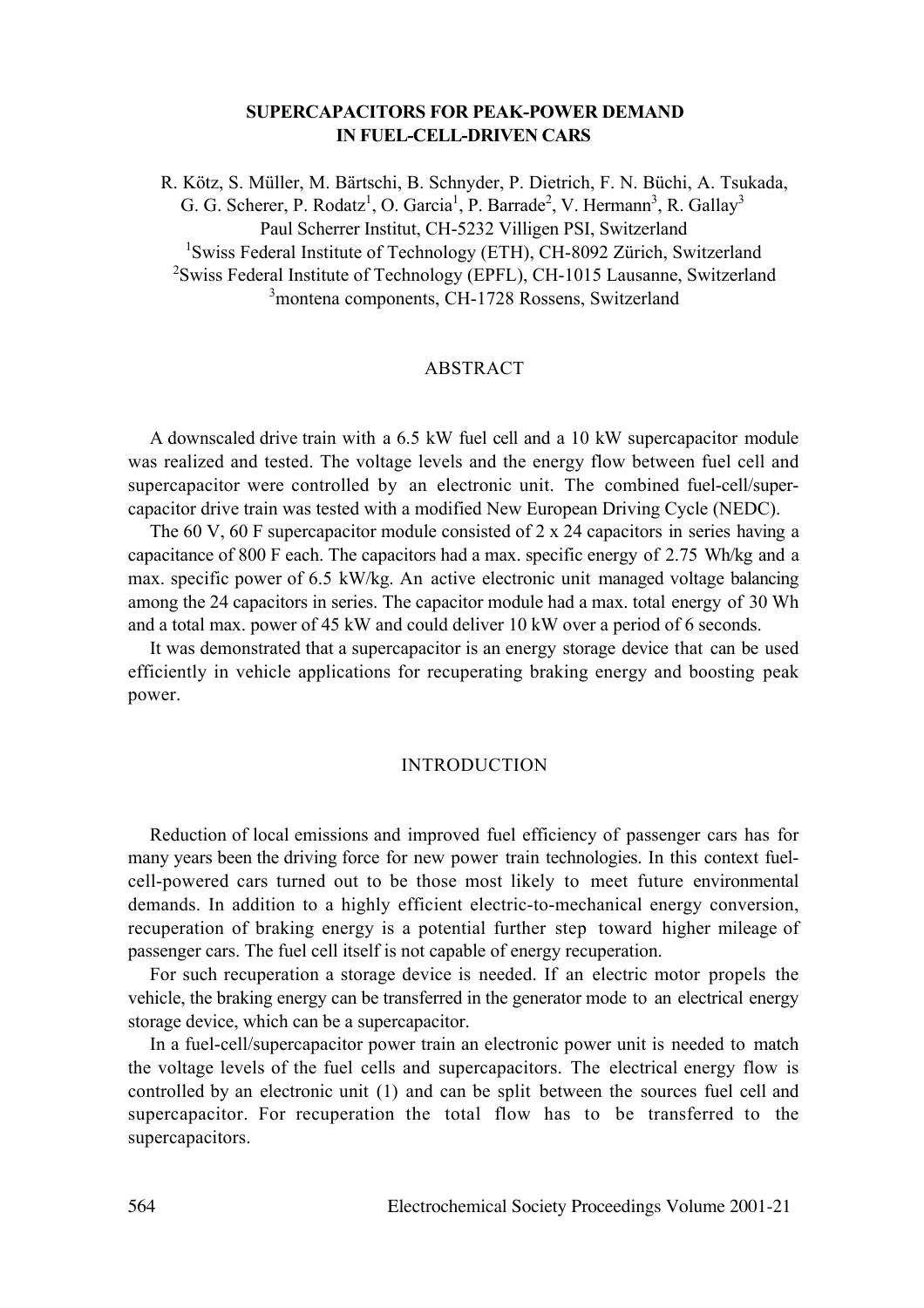# **SUPERCAPACITORS FOR PEAK-POWER DEMAND IN FUEL-CELL-DRIVEN CARS**

R. Kötz, S. Müller, M. Bärtschi, B. Schnyder, P. Dietrich, F. N. Büchi, A. Tsukada, G. G. Scherer, P. Rodatz<sup>1</sup>, O. Garcia<sup>1</sup>, P. Barrade<sup>2</sup>, V. Hermann<sup>3</sup>, R. Gallay<sup>3</sup> Paul Scherrer Institut, CH-5232 Villigen PSI, Switzerland <sup>1</sup>Swiss Federal Institute of Technology (ETH), CH-8092 Zürich, Switzerland <sup>2</sup>Swiss Federal Institute of Technology (EPFL), CH-1015 Lausanne, Switzerland 3 montena components, CH-1728 Rossens, Switzerland

## **ABSTRACT**

A downscaled drive train with a 6.5 kW fuel cell and a 10 kW supercapacitor module was realized and tested. The voltage levels and the energy flow between fuel cell and supercapacitor were controlled by an electronic unit. The combined fuel-cell/supercapacitor drive train was tested with a modified New European Driving Cycle (NEDC).

The 60 V, 60 F supercapacitor module consisted of 2 x 24 capacitors in series having a capacitance of 800 F each. The capacitors had a max. specific energy of 2.75 Wh/kg and a max. specific power of 6.5 kW/kg. An active electronic unit managed voltage balancing among the 24 capacitors in series. The capacitor module had a max. total energy of 30 Wh and a total max. power of 45 kW and could deliver 10 kW over a period of 6 seconds.

It was demonstrated that a supercapacitor is an energy storage device that can be used efficiently in vehicle applications for recuperating braking energy and boosting peak power.

### INTRODUCTION

Reduction of local emissions and improved fuel efficiency of passenger cars has for many years been the driving force for new power train technologies. In this context fuelcell-powered cars turned out to be those most likely to meet future environmental demands. In addition to a highly efficient electric-to-mechanical energy conversion, recuperation of braking energy is a potential further step toward higher mileage of passenger cars. The fuel cell itself is not capable of energy recuperation.

For such recuperation a storage device is needed. If an electric motor propels the vehicle, the braking energy can be transferred in the generator mode to an electrical energy storage device, which can be a supercapacitor.

In a fuel-cell/supercapacitor power train an electronic power unit is needed to match the voltage levels of the fuel cells and supercapacitors. The electrical energy flow is controlled by an electronic unit (1) and can be split between the sources fuel cell and supercapacitor. For recuperation the total flow has to be transferred to the supercapacitors.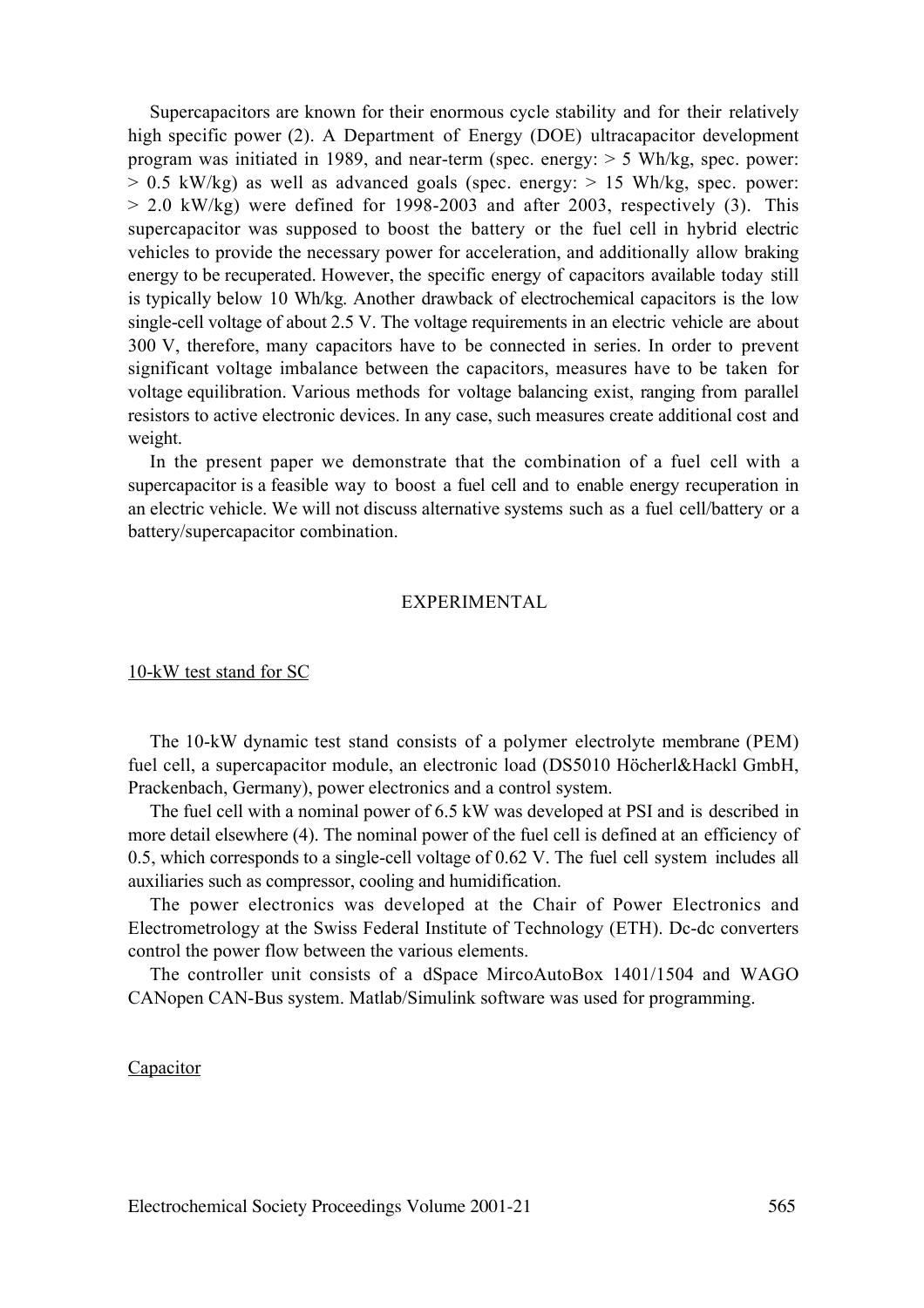Supercapacitors are known for their enormous cycle stability and for their relatively high specific power (2). A Department of Energy (DOE) ultracapacitor development program was initiated in 1989, and near-term (spec. energy: > 5 Wh/kg, spec. power:  $> 0.5$  kW/kg) as well as advanced goals (spec. energy:  $> 15$  Wh/kg, spec. power:  $> 2.0$  kW/kg) were defined for 1998-2003 and after 2003, respectively (3). This supercapacitor was supposed to boost the battery or the fuel cell in hybrid electric vehicles to provide the necessary power for acceleration, and additionally allow braking energy to be recuperated. However, the specific energy of capacitors available today still is typically below 10 Wh/kg. Another drawback of electrochemical capacitors is the low single-cell voltage of about 2.5 V. The voltage requirements in an electric vehicle are about 300 V, therefore, many capacitors have to be connected in series. In order to prevent significant voltage imbalance between the capacitors, measures have to be taken for voltage equilibration. Various methods for voltage balancing exist, ranging from parallel resistors to active electronic devices. In any case, such measures create additional cost and weight.

In the present paper we demonstrate that the combination of a fuel cell with a supercapacitor is a feasible way to boost a fuel cell and to enable energy recuperation in an electric vehicle. We will not discuss alternative systems such as a fuel cell/battery or a battery/supercapacitor combination.

### EXPERIMENTAL

### 10-kW test stand for SC

The 10-kW dynamic test stand consists of a polymer electrolyte membrane (PEM) fuel cell, a supercapacitor module, an electronic load (DS5010 Höcherl&Hackl GmbH, Prackenbach, Germany), power electronics and a control system.

The fuel cell with a nominal power of 6.5 kW was developed at PSI and is described in more detail elsewhere (4). The nominal power of the fuel cell is defined at an efficiency of 0.5, which corresponds to a single-cell voltage of 0.62 V. The fuel cell system includes all auxiliaries such as compressor, cooling and humidification.

The power electronics was developed at the Chair of Power Electronics and Electrometrology at the Swiss Federal Institute of Technology (ETH). Dc-dc converters control the power flow between the various elements.

The controller unit consists of a dSpace MircoAutoBox 1401/1504 and WAGO CANopen CAN-Bus system. Matlab/Simulink software was used for programming.

# Capacitor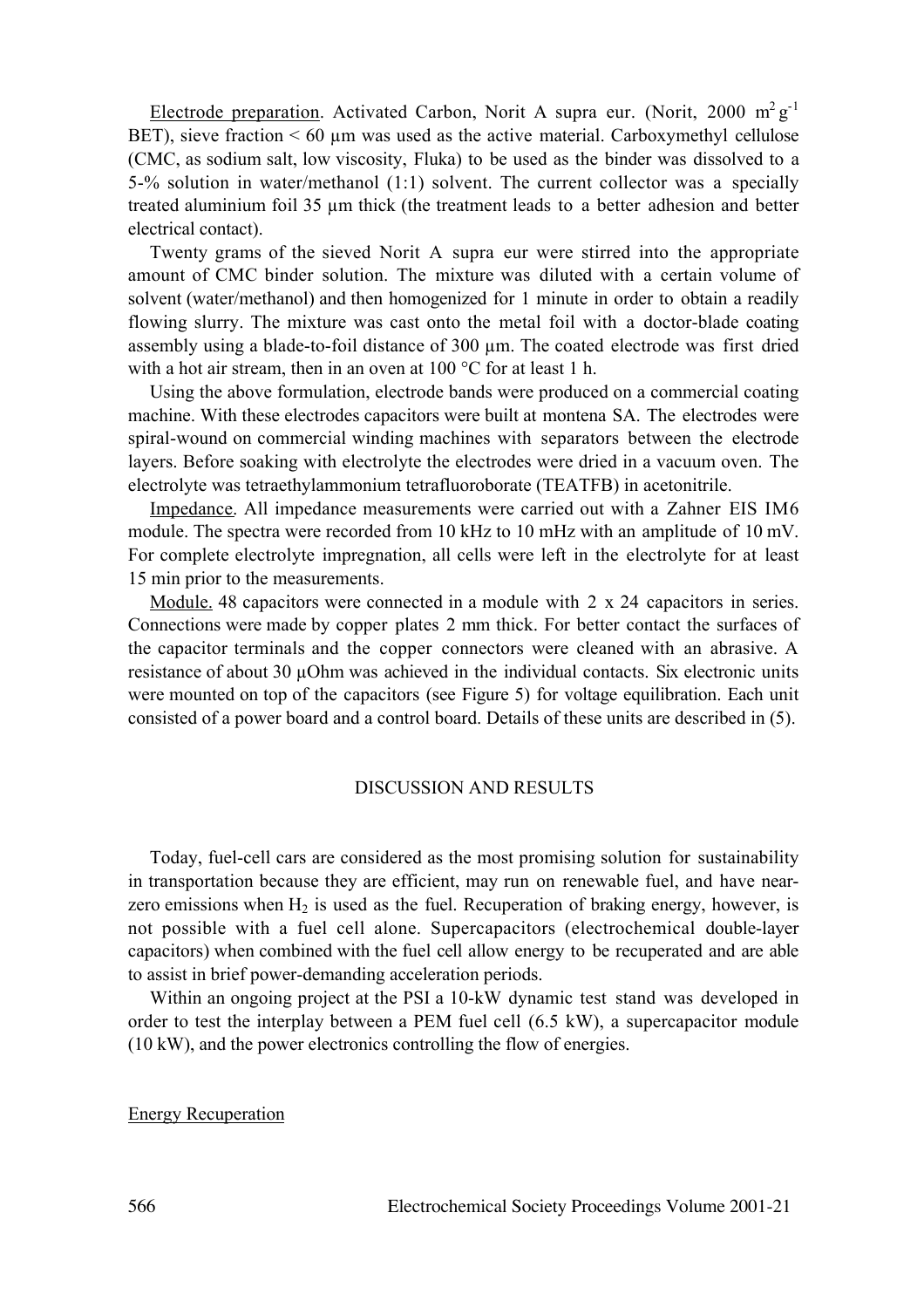Electrode preparation. Activated Carbon, Norit A supra eur. (Norit, 2000 m<sup>2</sup> g<sup>-1</sup> BET), sieve fraction  $\leq 60 \mu m$  was used as the active material. Carboxymethyl cellulose (CMC, as sodium salt, low viscosity, Fluka) to be used as the binder was dissolved to a 5-% solution in water/methanol (1:1) solvent. The current collector was a specially treated aluminium foil 35 µm thick (the treatment leads to a better adhesion and better electrical contact).

Twenty grams of the sieved Norit A supra eur were stirred into the appropriate amount of CMC binder solution. The mixture was diluted with a certain volume of solvent (water/methanol) and then homogenized for 1 minute in order to obtain a readily flowing slurry. The mixture was cast onto the metal foil with a doctor-blade coating assembly using a blade-to-foil distance of 300 µm. The coated electrode was first dried with a hot air stream, then in an oven at 100 °C for at least 1 h.

Using the above formulation, electrode bands were produced on a commercial coating machine. With these electrodes capacitors were built at montena SA. The electrodes were spiral-wound on commercial winding machines with separators between the electrode layers. Before soaking with electrolyte the electrodes were dried in a vacuum oven. The electrolyte was tetraethylammonium tetrafluoroborate (TEATFB) in acetonitrile.

Impedance. All impedance measurements were carried out with a Zahner EIS IM6 module. The spectra were recorded from 10 kHz to 10 mHz with an amplitude of 10 mV. For complete electrolyte impregnation, all cells were left in the electrolyte for at least 15 min prior to the measurements.

Module. 48 capacitors were connected in a module with 2 x 24 capacitors in series. Connections were made by copper plates 2 mm thick. For better contact the surfaces of the capacitor terminals and the copper connectors were cleaned with an abrasive. A resistance of about 30 µOhm was achieved in the individual contacts. Six electronic units were mounted on top of the capacitors (see Figure 5) for voltage equilibration. Each unit consisted of a power board and a control board. Details of these units are described in (5).

### DISCUSSION AND RESULTS

Today, fuel-cell cars are considered as the most promising solution for sustainability in transportation because they are efficient, may run on renewable fuel, and have nearzero emissions when  $H_2$  is used as the fuel. Recuperation of braking energy, however, is not possible with a fuel cell alone. Supercapacitors (electrochemical double-layer capacitors) when combined with the fuel cell allow energy to be recuperated and are able to assist in brief power-demanding acceleration periods.

Within an ongoing project at the PSI a 10-kW dynamic test stand was developed in order to test the interplay between a PEM fuel cell (6.5 kW), a supercapacitor module (10 kW), and the power electronics controlling the flow of energies.

# Energy Recuperation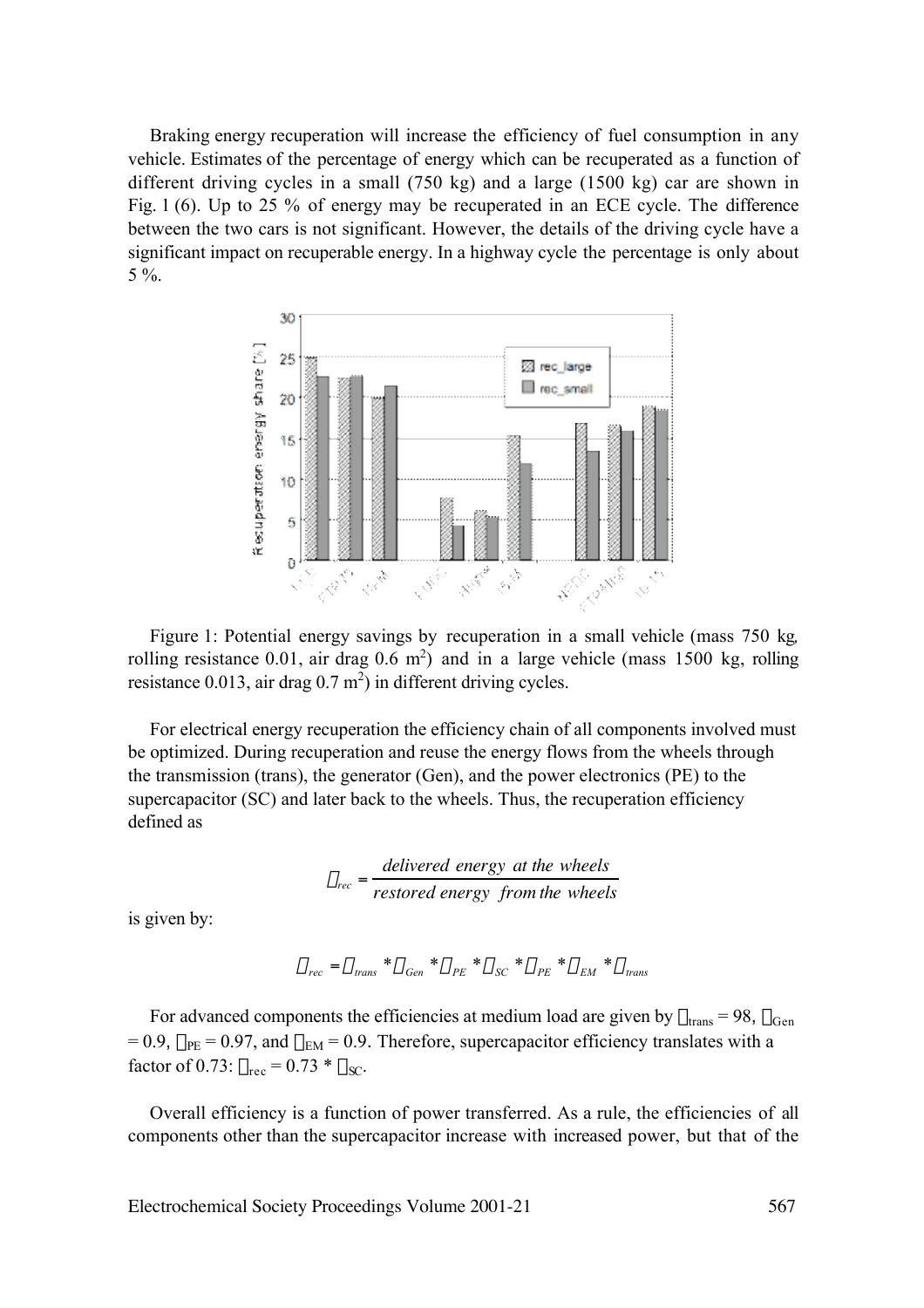Braking energy recuperation will increase the efficiency of fuel consumption in any vehicle. Estimates of the percentage of energy which can be recuperated as a function of different driving cycles in a small (750 kg) and a large (1500 kg) car are shown in Fig. 1 (6). Up to 25 % of energy may be recuperated in an ECE cycle. The difference between the two cars is not significant. However, the details of the driving cycle have a significant impact on recuperable energy. In a highway cycle the percentage is only about 5 %.



Figure 1: Potential energy savings by recuperation in a small vehicle (mass 750 kg*,* rolling resistance 0.01, air drag  $0.6 \text{ m}^2$ ) and in a large vehicle (mass 1500 kg, rolling resistance  $0.013$ , air drag  $0.7 \text{ m}^2$ ) in different driving cycles.

For electrical energy recuperation the efficiency chain of all components involved must be optimized. During recuperation and reuse the energy flows from the wheels through the transmission (trans), the generator (Gen), and the power electronics (PE) to the supercapacitor (SC) and later back to the wheels. Thus, the recuperation efficiency defined as

$$
\eta_{rec} = \frac{delivered \ energy \ at \ the \ wheels}{restored \ energy \ from \ the \ wheels}
$$

is given by:

$$
\eta_{\textit{rec}} = \eta_{\textit{trans}} * \eta_{\textit{Gen}} * \eta_{\textit{PE}} * \eta_{\textit{SC}} * \eta_{\textit{PE}} * \eta_{\textit{EM}} * \eta_{\textit{trans}}
$$

For advanced components the efficiencies at medium load are given by  $\eta_{trans} = 98$ ,  $\eta_{Gen}$  $= 0.9$ ,  $\eta_{PE} = 0.97$ , and  $\eta_{EM} = 0.9$ . Therefore, supercapacitor efficiency translates with a factor of 0.73:  $\eta_{\text{rec}} = 0.73 * \eta_{\text{SC}}$ .

Overall efficiency is a function of power transferred. As a rule, the efficiencies of all components other than the supercapacitor increase with increased power, but that of the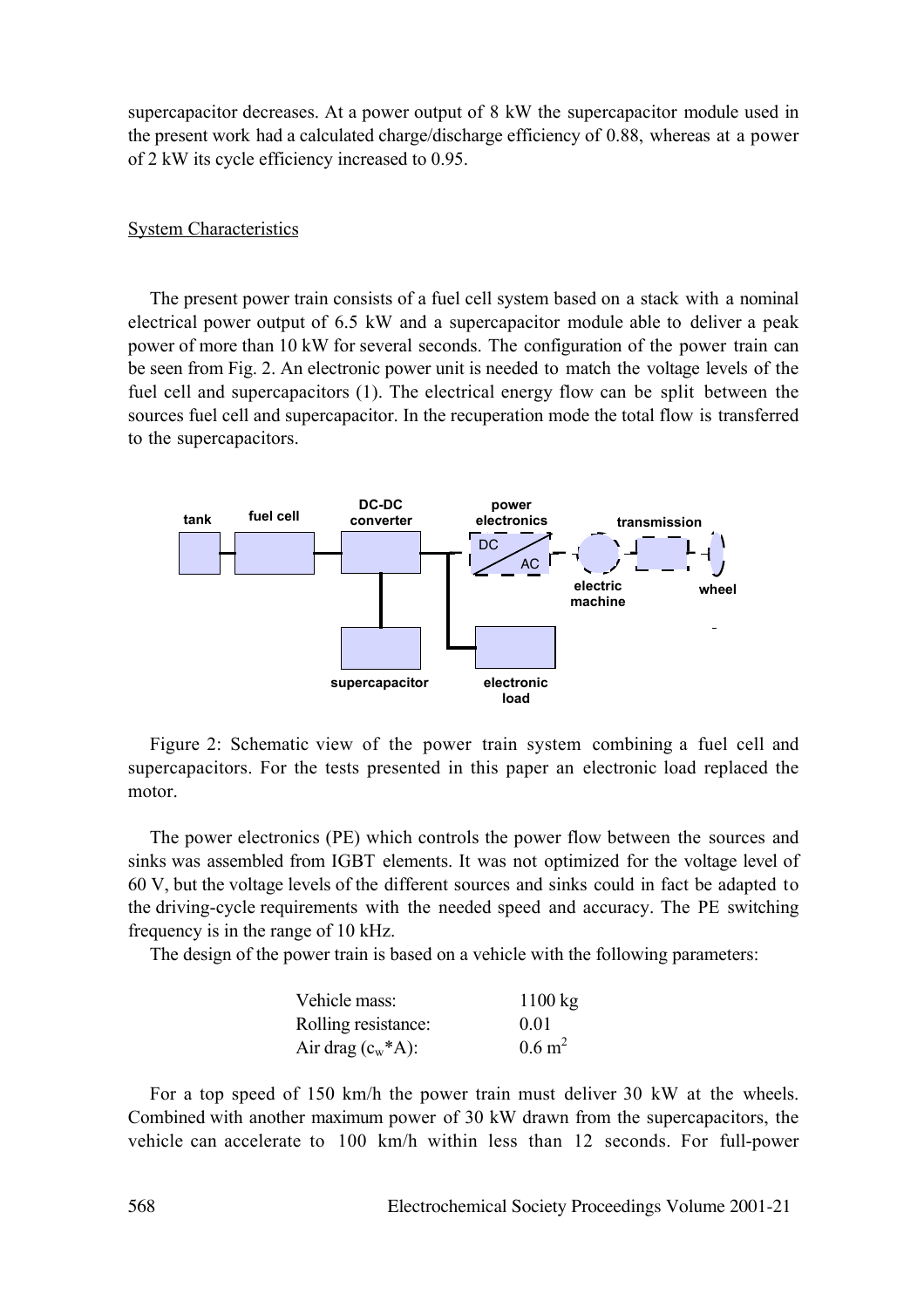supercapacitor decreases. At a power output of 8 kW the supercapacitor module used in the present work had a calculated charge/discharge efficiency of 0.88, whereas at a power of 2 kW its cycle efficiency increased to 0.95.

# System Characteristics

The present power train consists of a fuel cell system based on a stack with a nominal electrical power output of 6.5 kW and a supercapacitor module able to deliver a peak power of more than 10 kW for several seconds. The configuration of the power train can be seen from Fig. 2. An electronic power unit is needed to match the voltage levels of the fuel cell and supercapacitors (1). The electrical energy flow can be split between the sources fuel cell and supercapacitor. In the recuperation mode the total flow is transferred to the supercapacitors.



Figure 2: Schematic view of the power train system combining a fuel cell and supercapacitors. For the tests presented in this paper an electronic load replaced the motor.

The power electronics (PE) which controls the power flow between the sources and sinks was assembled from IGBT elements. It was not optimized for the voltage level of 60 V, but the voltage levels of the different sources and sinks could in fact be adapted to the driving-cycle requirements with the needed speed and accuracy. The PE switching frequency is in the range of 10 kHz.

The design of the power train is based on a vehicle with the following parameters:

| Vehicle mass:         | $1100 \text{ kg}$ |
|-----------------------|-------------------|
| Rolling resistance:   | 0 <sub>01</sub>   |
| Air drag $(c_w^*A)$ : | $0.6 \text{ m}^2$ |

For a top speed of 150 km/h the power train must deliver 30 kW at the wheels. Combined with another maximum power of 30 kW drawn from the supercapacitors, the vehicle can accelerate to 100 km/h within less than 12 seconds. For full-power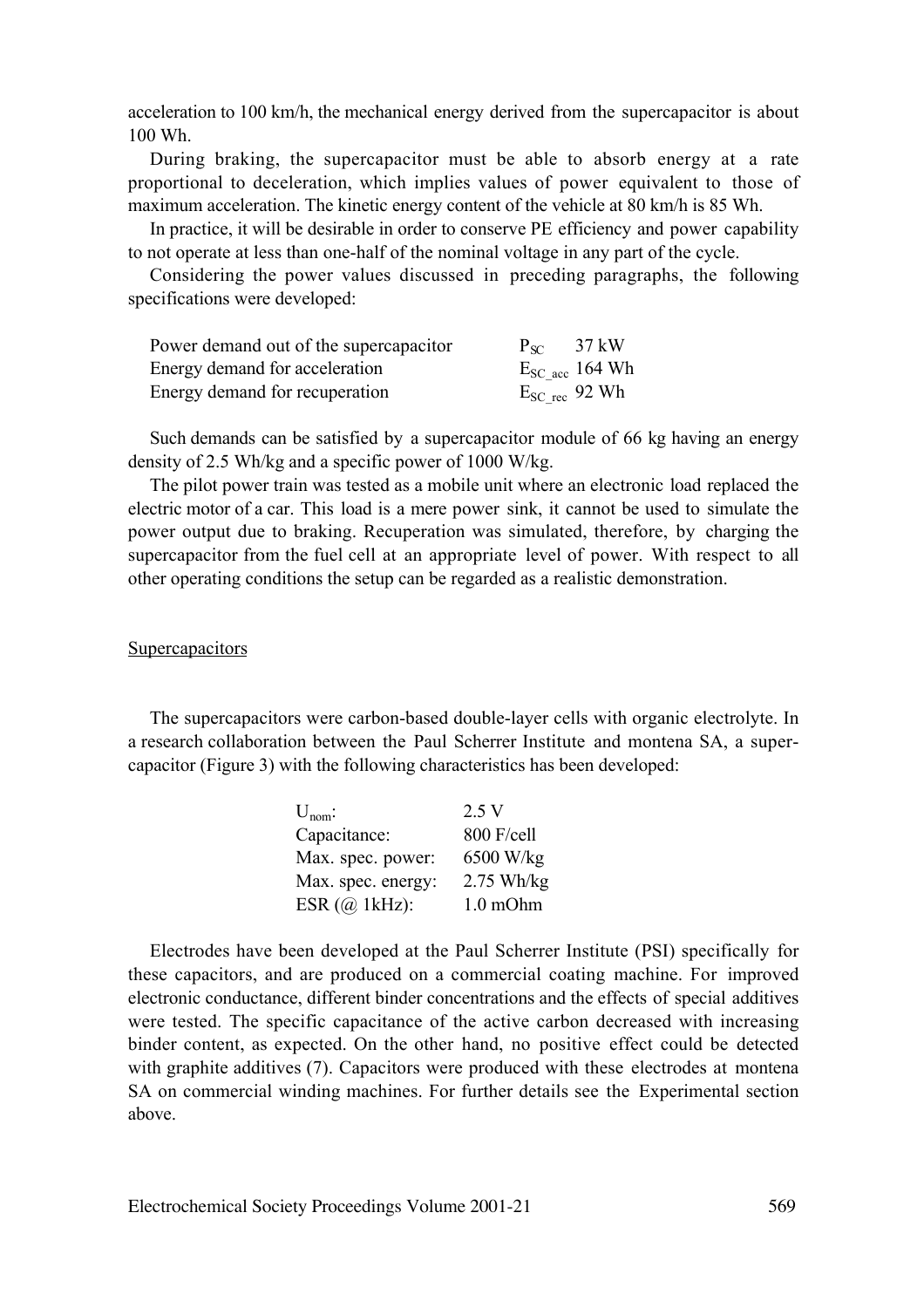acceleration to 100 km/h, the mechanical energy derived from the supercapacitor is about 100 Wh.

During braking, the supercapacitor must be able to absorb energy at a rate proportional to deceleration, which implies values of power equivalent to those of maximum acceleration. The kinetic energy content of the vehicle at 80 km/h is 85 Wh.

In practice, it will be desirable in order to conserve PE efficiency and power capability to not operate at less than one-half of the nominal voltage in any part of the cycle.

Considering the power values discussed in preceding paragraphs, the following specifications were developed:

| Power demand out of the supercapacitor | $P_{SC}$           | 37 kW               |
|----------------------------------------|--------------------|---------------------|
| Energy demand for acceleration         |                    | $E_{SC}$ acc 164 Wh |
| Energy demand for recuperation         | $E_{SC}$ rec 92 Wh |                     |

Such demands can be satisfied by a supercapacitor module of 66 kg having an energy density of 2.5 Wh/kg and a specific power of 1000 W/kg.

The pilot power train was tested as a mobile unit where an electronic load replaced the electric motor of a car. This load is a mere power sink, it cannot be used to simulate the power output due to braking. Recuperation was simulated, therefore, by charging the supercapacitor from the fuel cell at an appropriate level of power. With respect to all other operating conditions the setup can be regarded as a realistic demonstration.

### **Supercapacitors**

The supercapacitors were carbon-based double-layer cells with organic electrolyte. In a research collaboration between the Paul Scherrer Institute and montena SA, a supercapacitor (Figure 3) with the following characteristics has been developed:

| $U_{\text{nom}}$ : | 2.5 V         |
|--------------------|---------------|
| Capacitance:       | 800 F/cell    |
| Max. spec. power:  | 6500 W/kg     |
| Max. spec. energy: | $2.75$ Wh/kg  |
| ESR $(a)$ 1kHz):   | $1.0$ m $Ohm$ |

Electrodes have been developed at the Paul Scherrer Institute (PSI) specifically for these capacitors, and are produced on a commercial coating machine. For improved electronic conductance, different binder concentrations and the effects of special additives were tested. The specific capacitance of the active carbon decreased with increasing binder content, as expected. On the other hand, no positive effect could be detected with graphite additives (7). Capacitors were produced with these electrodes at montena SA on commercial winding machines. For further details see the Experimental section above.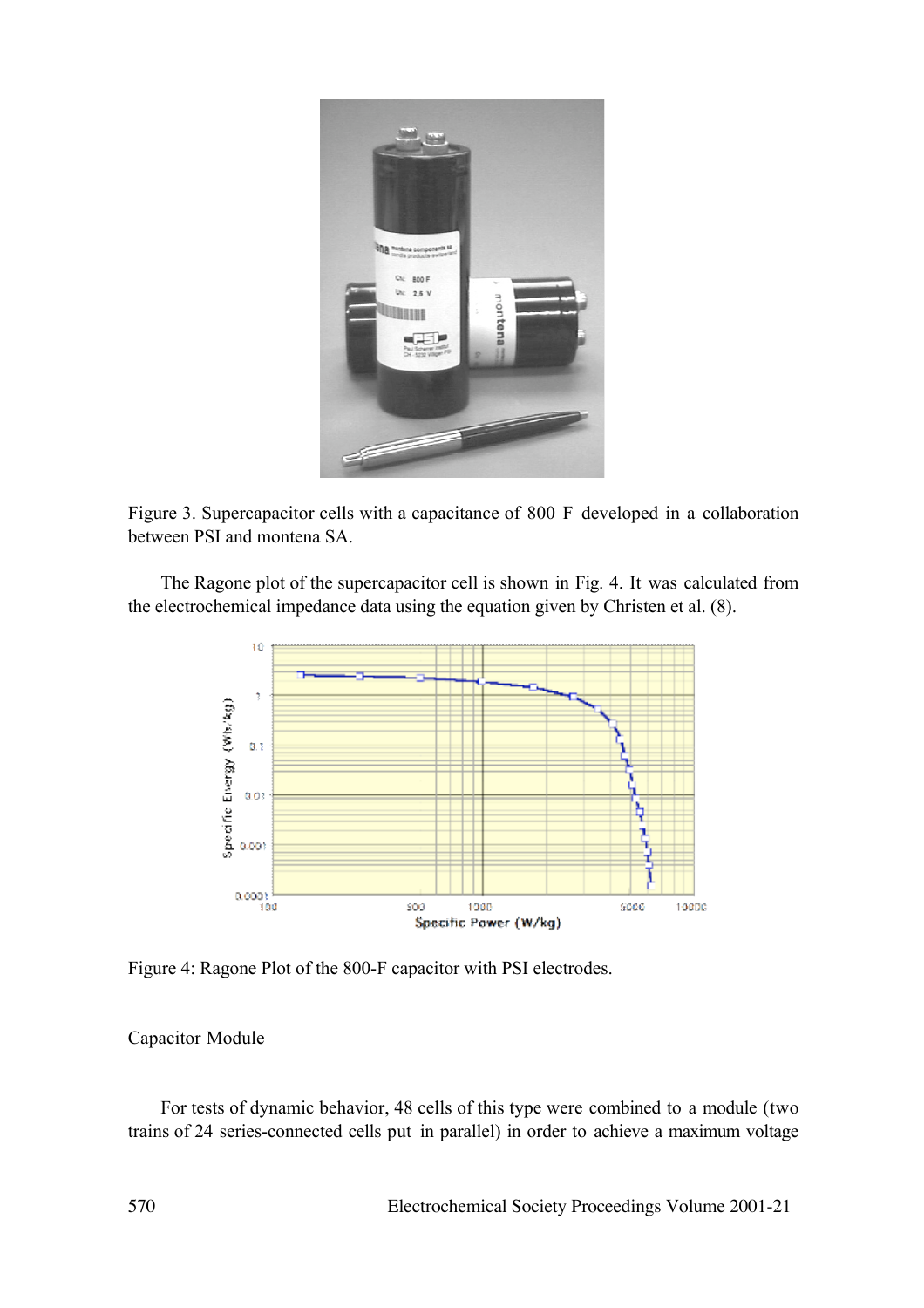

Figure 3. Supercapacitor cells with a capacitance of 800 F developed in a collaboration between PSI and montena SA.

The Ragone plot of the supercapacitor cell is shown in Fig. 4. It was calculated from the electrochemical impedance data using the equation given by Christen et al. (8).



Figure 4: Ragone Plot of the 800-F capacitor with PSI electrodes.

# Capacitor Module

For tests of dynamic behavior, 48 cells of this type were combined to a module (two trains of 24 series-connected cells put in parallel) in order to achieve a maximum voltage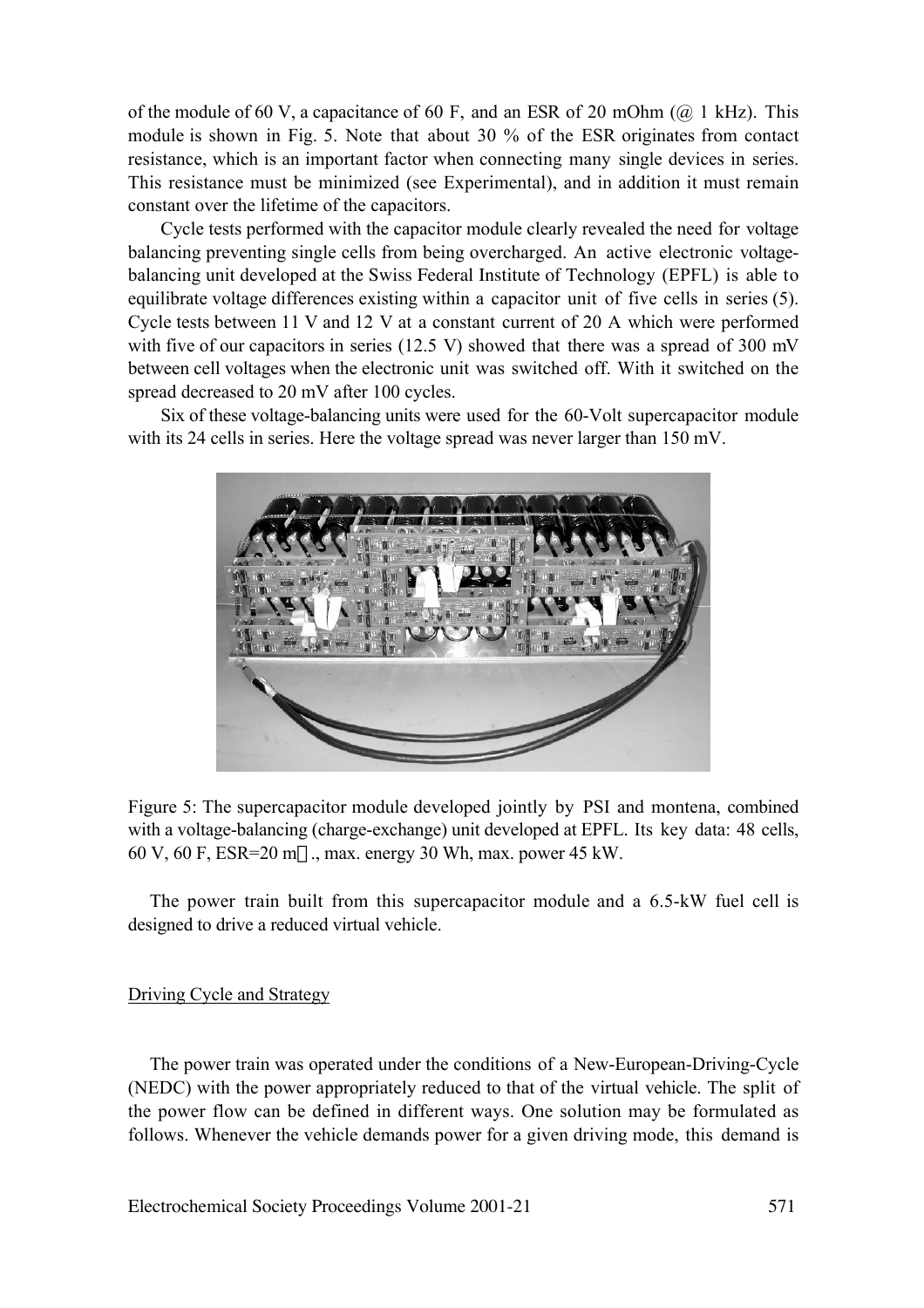of the module of 60 V, a capacitance of 60 F, and an ESR of 20 mOhm ( $\omega$ ) kHz). This module is shown in Fig. 5. Note that about 30 % of the ESR originates from contact resistance, which is an important factor when connecting many single devices in series. This resistance must be minimized (see Experimental), and in addition it must remain constant over the lifetime of the capacitors.

Cycle tests performed with the capacitor module clearly revealed the need for voltage balancing preventing single cells from being overcharged. An active electronic voltagebalancing unit developed at the Swiss Federal Institute of Technology (EPFL) is able to equilibrate voltage differences existing within a capacitor unit of five cells in series (5). Cycle tests between 11 V and 12 V at a constant current of 20 A which were performed with five of our capacitors in series (12.5 V) showed that there was a spread of 300 mV between cell voltages when the electronic unit was switched off. With it switched on the spread decreased to 20 mV after 100 cycles.

Six of these voltage-balancing units were used for the 60-Volt supercapacitor module with its 24 cells in series. Here the voltage spread was never larger than 150 mV.



Figure 5: The supercapacitor module developed jointly by PSI and montena, combined with a voltage-balancing (charge-exchange) unit developed at EPFL. Its key data: 48 cells, 60 V, 60 F, ESR=20 m $\Omega$ , max. energy 30 Wh, max. power 45 kW.

The power train built from this supercapacitor module and a 6.5-kW fuel cell is designed to drive a reduced virtual vehicle.

# Driving Cycle and Strategy

The power train was operated under the conditions of a New-European-Driving-Cycle (NEDC) with the power appropriately reduced to that of the virtual vehicle. The split of the power flow can be defined in different ways. One solution may be formulated as follows. Whenever the vehicle demands power for a given driving mode, this demand is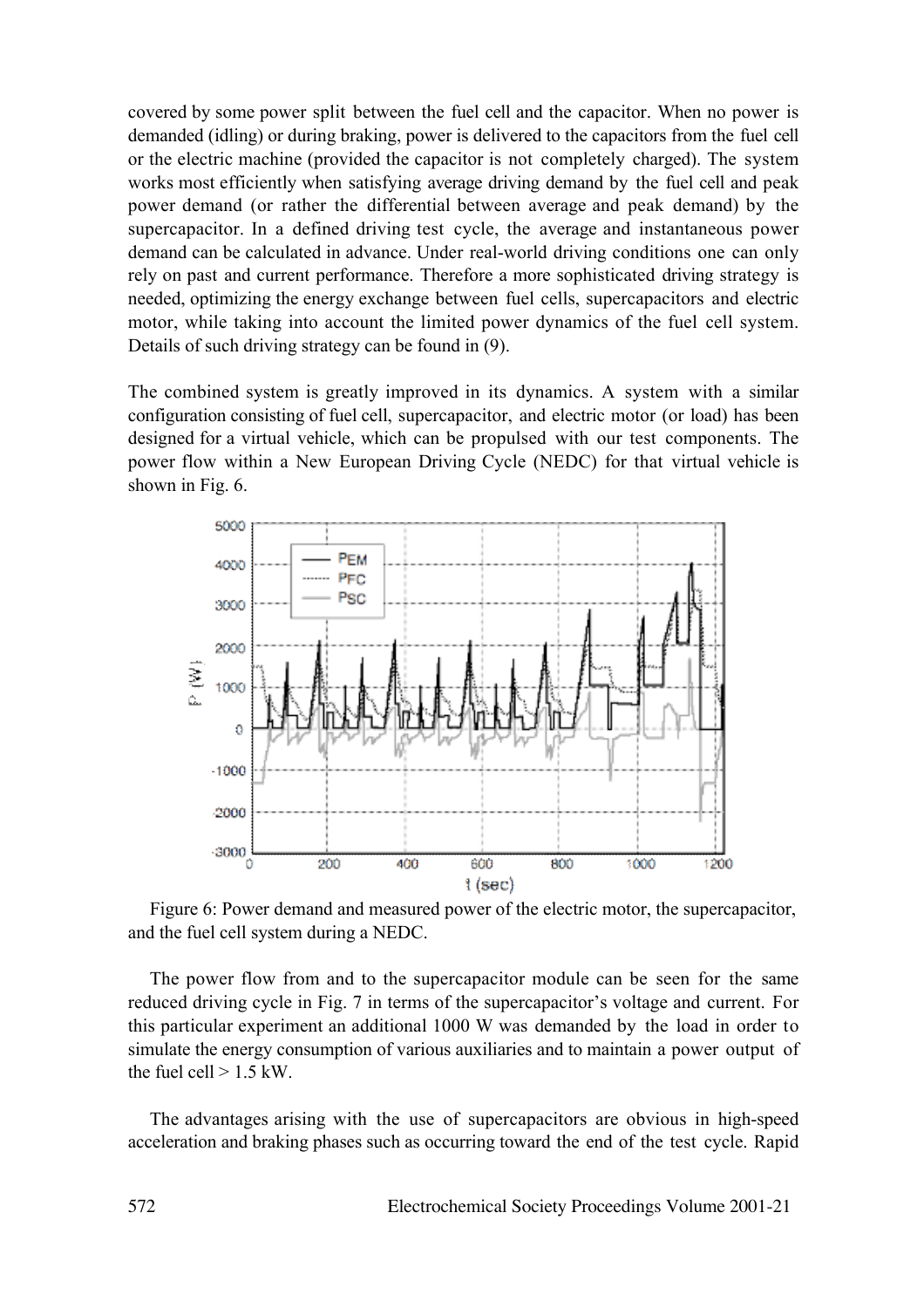covered by some power split between the fuel cell and the capacitor. When no power is demanded (idling) or during braking, power is delivered to the capacitors from the fuel cell or the electric machine (provided the capacitor is not completely charged). The system works most efficiently when satisfying average driving demand by the fuel cell and peak power demand (or rather the differential between average and peak demand) by the supercapacitor. In a defined driving test cycle, the average and instantaneous power demand can be calculated in advance. Under real-world driving conditions one can only rely on past and current performance. Therefore a more sophisticated driving strategy is needed, optimizing the energy exchange between fuel cells, supercapacitors and electric motor, while taking into account the limited power dynamics of the fuel cell system. Details of such driving strategy can be found in (9).

The combined system is greatly improved in its dynamics. A system with a similar configuration consisting of fuel cell, supercapacitor, and electric motor (or load) has been designed for a virtual vehicle, which can be propulsed with our test components. The power flow within a New European Driving Cycle (NEDC) for that virtual vehicle is shown in Fig. 6.



Figure 6: Power demand and measured power of the electric motor, the supercapacitor, and the fuel cell system during a NEDC.

The power flow from and to the supercapacitor module can be seen for the same reduced driving cycle in Fig. 7 in terms of the supercapacitor's voltage and current. For this particular experiment an additional 1000 W was demanded by the load in order to simulate the energy consumption of various auxiliaries and to maintain a power output of the fuel cell  $> 1.5$  kW.

The advantages arising with the use of supercapacitors are obvious in high-speed acceleration and braking phases such as occurring toward the end of the test cycle. Rapid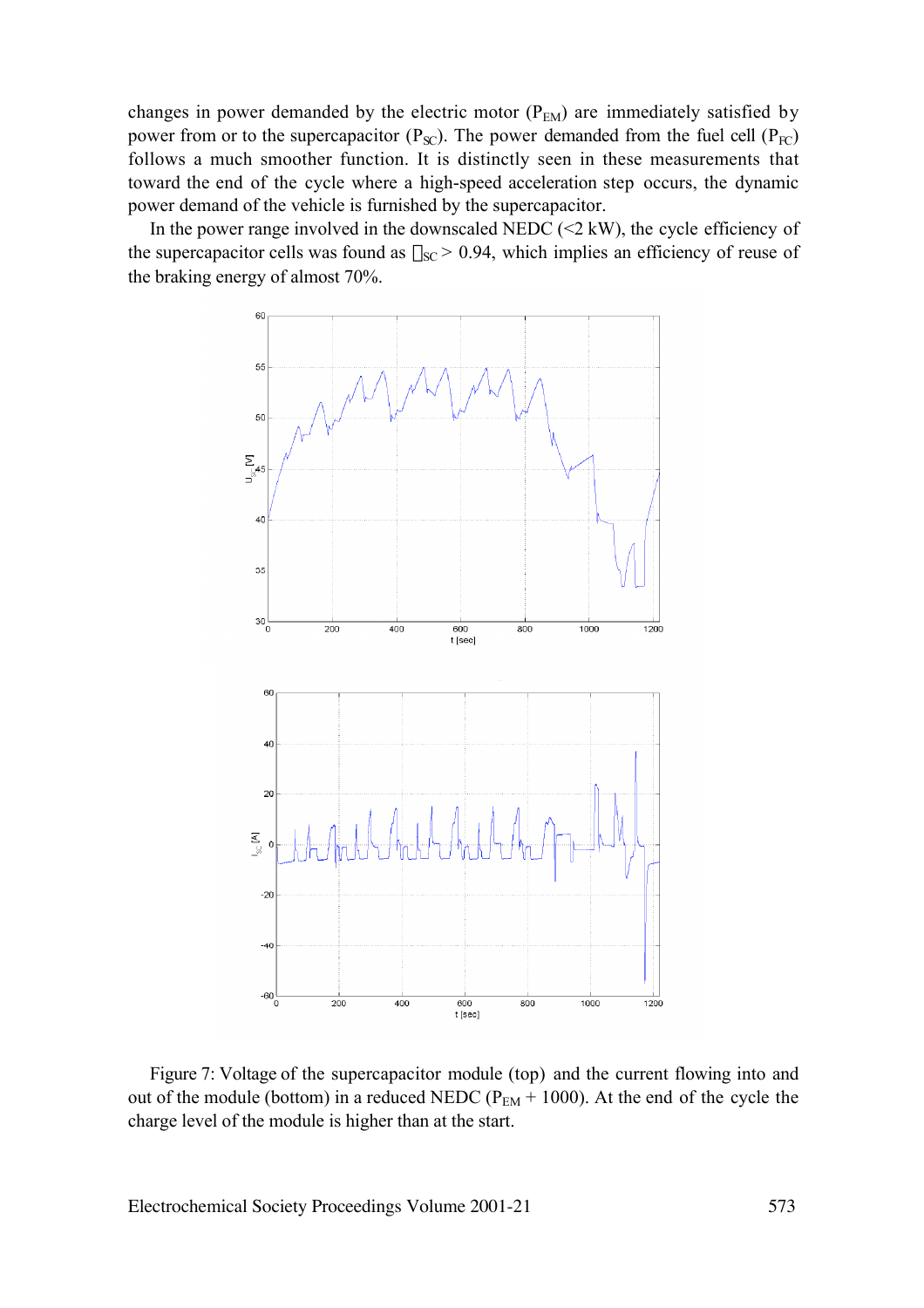changes in power demanded by the electric motor  $(P_{EM})$  are immediately satisfied by power from or to the supercapacitor  $(P_{\text{SC}})$ . The power demanded from the fuel cell  $(P_{\text{FC}})$ follows a much smoother function. It is distinctly seen in these measurements that toward the end of the cycle where a high-speed acceleration step occurs, the dynamic power demand of the vehicle is furnished by the supercapacitor.

In the power range involved in the downscaled NEDC  $(\leq 2 \text{ kW})$ , the cycle efficiency of the supercapacitor cells was found as  $\eta_{SC}$  > 0.94, which implies an efficiency of reuse of the braking energy of almost 70%.



Figure 7: Voltage of the supercapacitor module (top) and the current flowing into and out of the module (bottom) in a reduced NEDC ( $P_{EM}$  + 1000). At the end of the cycle the charge level of the module is higher than at the start.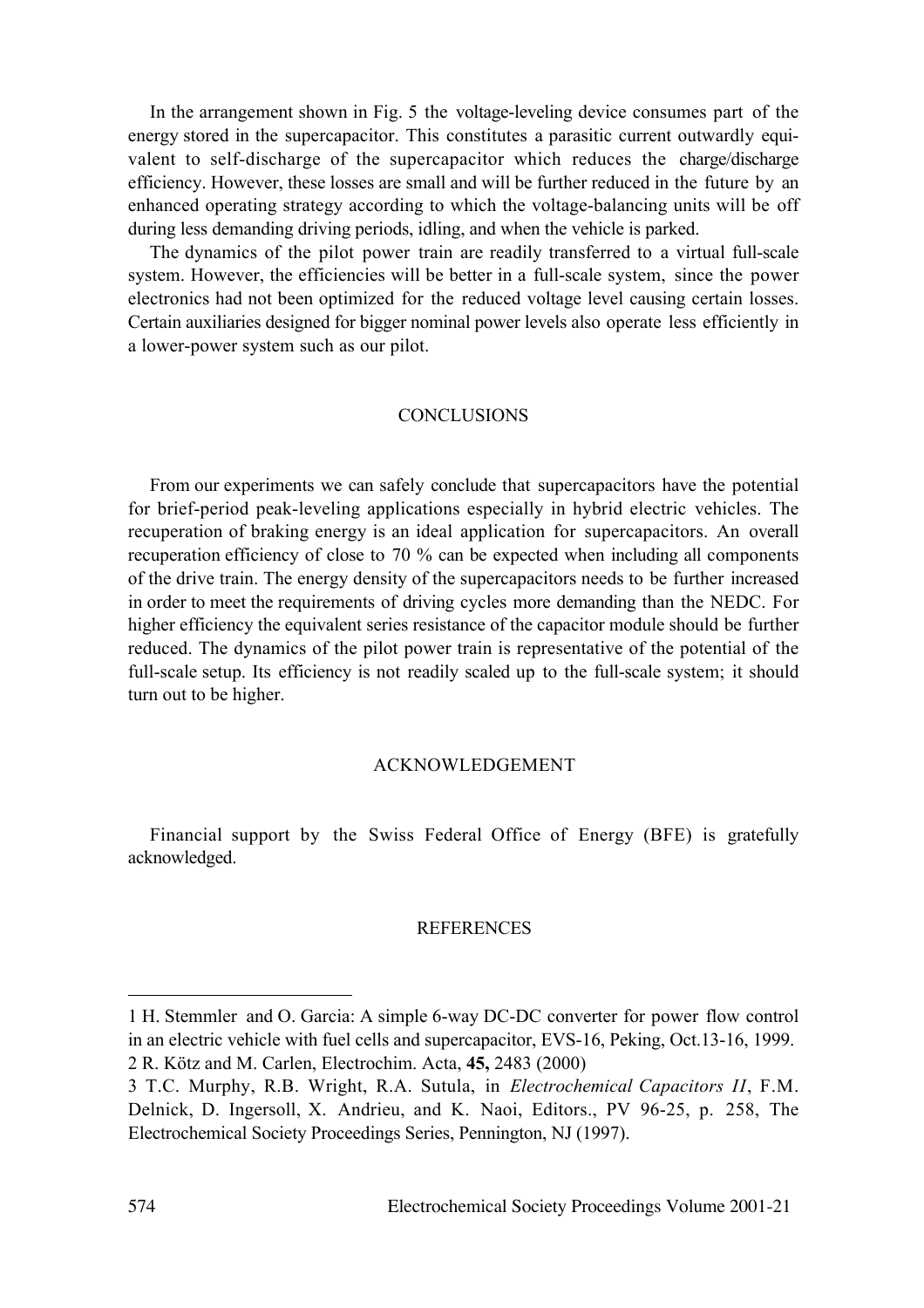In the arrangement shown in Fig. 5 the voltage-leveling device consumes part of the energy stored in the supercapacitor. This constitutes a parasitic current outwardly equivalent to self-discharge of the supercapacitor which reduces the charge/discharge efficiency. However, these losses are small and will be further reduced in the future by an enhanced operating strategy according to which the voltage-balancing units will be off during less demanding driving periods, idling, and when the vehicle is parked.

The dynamics of the pilot power train are readily transferred to a virtual full-scale system. However, the efficiencies will be better in a full-scale system, since the power electronics had not been optimized for the reduced voltage level causing certain losses. Certain auxiliaries designed for bigger nominal power levels also operate less efficiently in a lower-power system such as our pilot.

## **CONCLUSIONS**

From our experiments we can safely conclude that supercapacitors have the potential for brief-period peak-leveling applications especially in hybrid electric vehicles. The recuperation of braking energy is an ideal application for supercapacitors. An overall recuperation efficiency of close to 70 % can be expected when including all components of the drive train. The energy density of the supercapacitors needs to be further increased in order to meet the requirements of driving cycles more demanding than the NEDC. For higher efficiency the equivalent series resistance of the capacitor module should be further reduced. The dynamics of the pilot power train is representative of the potential of the full-scale setup. Its efficiency is not readily scaled up to the full-scale system; it should turn out to be higher.

# ACKNOWLEDGEMENT

Financial support by the Swiss Federal Office of Energy (BFE) is gratefully acknowledged.

### **REFERENCES**

 $\overline{a}$ 

<sup>1</sup> H. Stemmler and O. Garcia: A simple 6-way DC-DC converter for power flow control in an electric vehicle with fuel cells and supercapacitor, EVS-16, Peking, Oct.13-16, 1999. 2 R. Kötz and M. Carlen, Electrochim. Acta, **45,** 2483 (2000)

<sup>3</sup> T.C. Murphy, R.B. Wright, R.A. Sutula, in *Electrochemical Capacitors II*, F.M. Delnick, D. Ingersoll, X. Andrieu, and K. Naoi, Editors., PV 96-25, p. 258, The Electrochemical Society Proceedings Series, Pennington, NJ (1997).